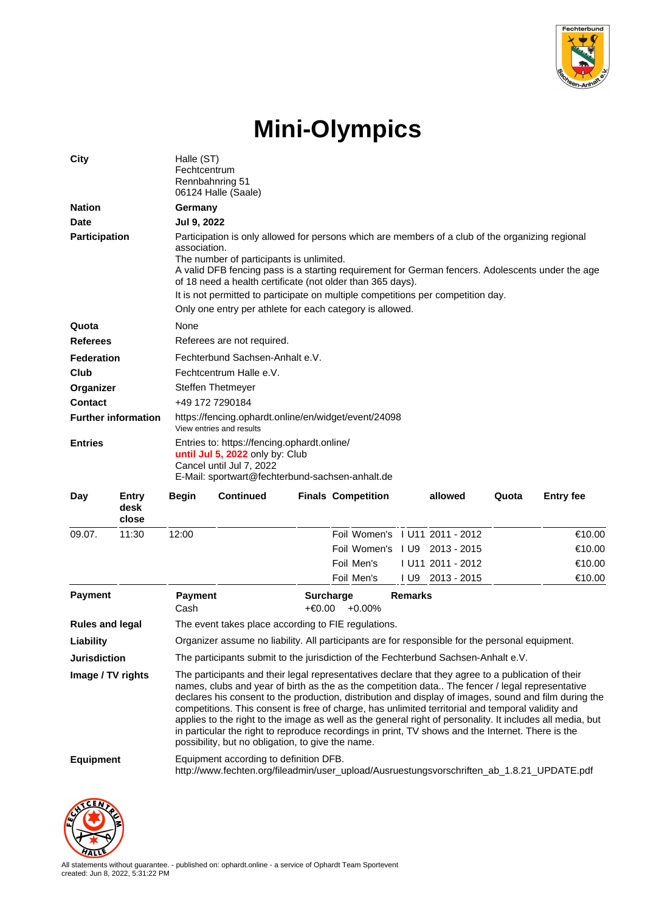

## **Mini-Olympics**

| City                       |                               | Halle (ST)<br>Fechtcentrum<br>Rennbahnring 51<br>06124 Halle (Saale)                                                                                                                                                                                                                                                                                                                                                                                                                                                                                                                                                                                                                       |                  |                              |                           |                |                                |       |                  |
|----------------------------|-------------------------------|--------------------------------------------------------------------------------------------------------------------------------------------------------------------------------------------------------------------------------------------------------------------------------------------------------------------------------------------------------------------------------------------------------------------------------------------------------------------------------------------------------------------------------------------------------------------------------------------------------------------------------------------------------------------------------------------|------------------|------------------------------|---------------------------|----------------|--------------------------------|-------|------------------|
| <b>Nation</b>              |                               | Germany                                                                                                                                                                                                                                                                                                                                                                                                                                                                                                                                                                                                                                                                                    |                  |                              |                           |                |                                |       |                  |
| <b>Date</b>                |                               | Jul 9, 2022                                                                                                                                                                                                                                                                                                                                                                                                                                                                                                                                                                                                                                                                                |                  |                              |                           |                |                                |       |                  |
| <b>Participation</b>       |                               | Participation is only allowed for persons which are members of a club of the organizing regional<br>association.<br>The number of participants is unlimited.<br>A valid DFB fencing pass is a starting requirement for German fencers. Adolescents under the age<br>of 18 need a health certificate (not older than 365 days).<br>It is not permitted to participate on multiple competitions per competition day.<br>Only one entry per athlete for each category is allowed.                                                                                                                                                                                                             |                  |                              |                           |                |                                |       |                  |
|                            |                               | None                                                                                                                                                                                                                                                                                                                                                                                                                                                                                                                                                                                                                                                                                       |                  |                              |                           |                |                                |       |                  |
| Quota<br><b>Referees</b>   |                               | Referees are not required.                                                                                                                                                                                                                                                                                                                                                                                                                                                                                                                                                                                                                                                                 |                  |                              |                           |                |                                |       |                  |
| <b>Federation</b>          |                               | Fechterbund Sachsen-Anhalt e.V.                                                                                                                                                                                                                                                                                                                                                                                                                                                                                                                                                                                                                                                            |                  |                              |                           |                |                                |       |                  |
| Club                       |                               | Fechtcentrum Halle e.V.                                                                                                                                                                                                                                                                                                                                                                                                                                                                                                                                                                                                                                                                    |                  |                              |                           |                |                                |       |                  |
| Organizer                  |                               | Steffen Thetmeyer                                                                                                                                                                                                                                                                                                                                                                                                                                                                                                                                                                                                                                                                          |                  |                              |                           |                |                                |       |                  |
| <b>Contact</b>             |                               | +49 172 7290184                                                                                                                                                                                                                                                                                                                                                                                                                                                                                                                                                                                                                                                                            |                  |                              |                           |                |                                |       |                  |
| <b>Further information</b> |                               | https://fencing.ophardt.online/en/widget/event/24098<br>View entries and results                                                                                                                                                                                                                                                                                                                                                                                                                                                                                                                                                                                                           |                  |                              |                           |                |                                |       |                  |
| <b>Entries</b>             |                               | Entries to: https://fencing.ophardt.online/<br>until Jul 5, 2022 only by: Club<br>Cancel until Jul 7, 2022<br>E-Mail: sportwart@fechterbund-sachsen-anhalt.de                                                                                                                                                                                                                                                                                                                                                                                                                                                                                                                              |                  |                              |                           |                |                                |       |                  |
| Day                        | <b>Entry</b><br>desk<br>close | <b>Begin</b>                                                                                                                                                                                                                                                                                                                                                                                                                                                                                                                                                                                                                                                                               | <b>Continued</b> |                              | <b>Finals Competition</b> |                | allowed                        | Quota | <b>Entry fee</b> |
| 09.07.                     | 11:30                         | 12:00                                                                                                                                                                                                                                                                                                                                                                                                                                                                                                                                                                                                                                                                                      |                  |                              |                           |                | Foil Women's 1 U11 2011 - 2012 |       | €10.00           |
|                            |                               |                                                                                                                                                                                                                                                                                                                                                                                                                                                                                                                                                                                                                                                                                            |                  |                              |                           |                | Foil Women's 1 U9 2013 - 2015  |       | €10.00           |
|                            |                               |                                                                                                                                                                                                                                                                                                                                                                                                                                                                                                                                                                                                                                                                                            |                  |                              | Foil Men's                |                | I U11 2011 - 2012              |       | €10.00           |
|                            |                               |                                                                                                                                                                                                                                                                                                                                                                                                                                                                                                                                                                                                                                                                                            |                  |                              | Foil Men's                |                | IU9 2013 - 2015                |       | €10.00           |
| <b>Payment</b>             |                               | <b>Payment</b><br>Cash                                                                                                                                                                                                                                                                                                                                                                                                                                                                                                                                                                                                                                                                     |                  | <b>Surcharge</b><br>$+€0.00$ | $+0.00%$                  | <b>Remarks</b> |                                |       |                  |
| <b>Rules and legal</b>     |                               | The event takes place according to FIE regulations.                                                                                                                                                                                                                                                                                                                                                                                                                                                                                                                                                                                                                                        |                  |                              |                           |                |                                |       |                  |
| Liability                  |                               | Organizer assume no liability. All participants are for responsible for the personal equipment.                                                                                                                                                                                                                                                                                                                                                                                                                                                                                                                                                                                            |                  |                              |                           |                |                                |       |                  |
| <b>Jurisdiction</b>        |                               | The participants submit to the jurisdiction of the Fechterbund Sachsen-Anhalt e.V.                                                                                                                                                                                                                                                                                                                                                                                                                                                                                                                                                                                                         |                  |                              |                           |                |                                |       |                  |
| Image / TV rights          |                               | The participants and their legal representatives declare that they agree to a publication of their<br>names, clubs and year of birth as the as the competition data The fencer / legal representative<br>declares his consent to the production, distribution and display of images, sound and film during the<br>competitions. This consent is free of charge, has unlimited territorial and temporal validity and<br>applies to the right to the image as well as the general right of personality. It includes all media, but<br>in particular the right to reproduce recordings in print, TV shows and the Internet. There is the<br>possibility, but no obligation, to give the name. |                  |                              |                           |                |                                |       |                  |
| <b>Equipment</b>           |                               | Equipment according to definition DFB.<br>http://www.fechten.org/fileadmin/user_upload/Ausruestungsvorschriften_ab_1.8.21_UPDATE.pdf                                                                                                                                                                                                                                                                                                                                                                                                                                                                                                                                                       |                  |                              |                           |                |                                |       |                  |